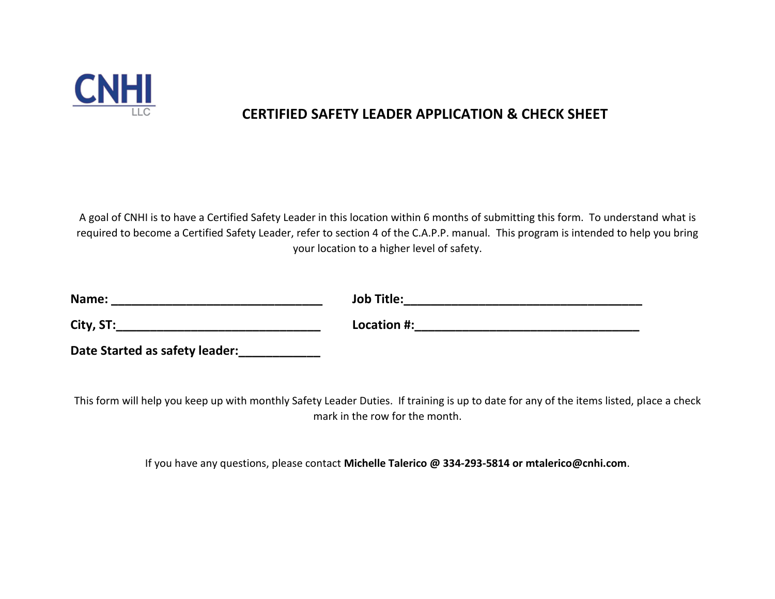

## **CERTIFIED SAFETY LEADER APPLICATION & CHECK SHEET**

A goal of CNHI is to have a Certified Safety Leader in this location within 6 months of submitting this form. To understand what is required to become a Certified Safety Leader, refer to section 4 of the C.A.P.P. manual. This program is intended to help you bring your location to a higher level of safety.

| Name:                          | <b>Job Title:</b> |
|--------------------------------|-------------------|
| City, ST:                      | Location #:       |
| Date Started as safety leader: |                   |

This form will help you keep up with monthly Safety Leader Duties. If training is up to date for any of the items listed, place a check mark in the row for the month.

If you have any questions, please contact **Michelle Talerico @ 334-293-5814 or mtalerico@cnhi.com**.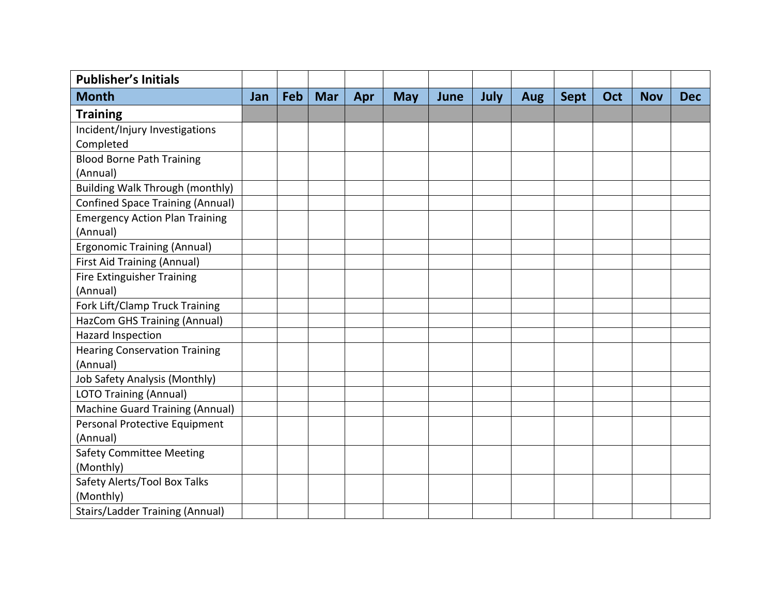| <b>Publisher's Initials</b>             |     |     |            |     |            |      |      |            |             |     |            |            |
|-----------------------------------------|-----|-----|------------|-----|------------|------|------|------------|-------------|-----|------------|------------|
| <b>Month</b>                            | Jan | Feb | <b>Mar</b> | Apr | <b>May</b> | June | July | <b>Aug</b> | <b>Sept</b> | Oct | <b>Nov</b> | <b>Dec</b> |
| <b>Training</b>                         |     |     |            |     |            |      |      |            |             |     |            |            |
| Incident/Injury Investigations          |     |     |            |     |            |      |      |            |             |     |            |            |
| Completed                               |     |     |            |     |            |      |      |            |             |     |            |            |
| <b>Blood Borne Path Training</b>        |     |     |            |     |            |      |      |            |             |     |            |            |
| (Annual)                                |     |     |            |     |            |      |      |            |             |     |            |            |
| <b>Building Walk Through (monthly)</b>  |     |     |            |     |            |      |      |            |             |     |            |            |
| <b>Confined Space Training (Annual)</b> |     |     |            |     |            |      |      |            |             |     |            |            |
| <b>Emergency Action Plan Training</b>   |     |     |            |     |            |      |      |            |             |     |            |            |
| (Annual)                                |     |     |            |     |            |      |      |            |             |     |            |            |
| <b>Ergonomic Training (Annual)</b>      |     |     |            |     |            |      |      |            |             |     |            |            |
| <b>First Aid Training (Annual)</b>      |     |     |            |     |            |      |      |            |             |     |            |            |
| Fire Extinguisher Training              |     |     |            |     |            |      |      |            |             |     |            |            |
| (Annual)                                |     |     |            |     |            |      |      |            |             |     |            |            |
| Fork Lift/Clamp Truck Training          |     |     |            |     |            |      |      |            |             |     |            |            |
| HazCom GHS Training (Annual)            |     |     |            |     |            |      |      |            |             |     |            |            |
| Hazard Inspection                       |     |     |            |     |            |      |      |            |             |     |            |            |
| <b>Hearing Conservation Training</b>    |     |     |            |     |            |      |      |            |             |     |            |            |
| (Annual)                                |     |     |            |     |            |      |      |            |             |     |            |            |
| Job Safety Analysis (Monthly)           |     |     |            |     |            |      |      |            |             |     |            |            |
| LOTO Training (Annual)                  |     |     |            |     |            |      |      |            |             |     |            |            |
| Machine Guard Training (Annual)         |     |     |            |     |            |      |      |            |             |     |            |            |
| Personal Protective Equipment           |     |     |            |     |            |      |      |            |             |     |            |            |
| (Annual)                                |     |     |            |     |            |      |      |            |             |     |            |            |
| <b>Safety Committee Meeting</b>         |     |     |            |     |            |      |      |            |             |     |            |            |
| (Monthly)                               |     |     |            |     |            |      |      |            |             |     |            |            |
| Safety Alerts/Tool Box Talks            |     |     |            |     |            |      |      |            |             |     |            |            |
| (Monthly)                               |     |     |            |     |            |      |      |            |             |     |            |            |
| <b>Stairs/Ladder Training (Annual)</b>  |     |     |            |     |            |      |      |            |             |     |            |            |